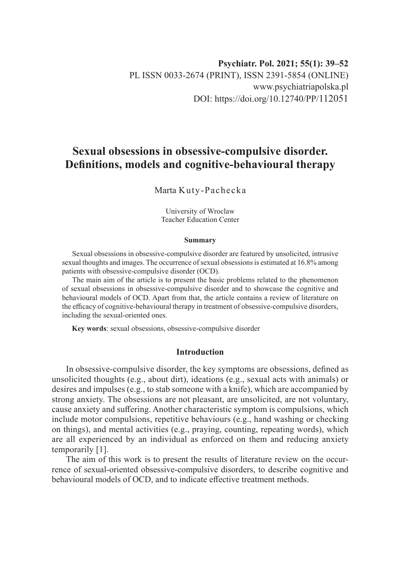# **Sexual obsessions in obsessive-compulsive disorder. Definitions, models and cognitive-behavioural therapy**

# Marta Kuty-Pachecka

University of Wroclaw Teacher Education Center

#### **Summary**

Sexual obsessions in obsessive-compulsive disorder are featured by unsolicited, intrusive sexual thoughts and images. The occurrence of sexual obsessions is estimated at 16.8% among patients with obsessive-compulsive disorder (OCD).

The main aim of the article is to present the basic problems related to the phenomenon of sexual obsessions in obsessive-compulsive disorder and to showcase the cognitive and behavioural models of OCD. Apart from that, the article contains a review of literature on the efficacy of cognitive-behavioural therapy in treatment of obsessive-compulsive disorders, including the sexual-oriented ones.

**Key words**: sexual obsessions, obsessive-compulsive disorder

# **Introduction**

In obsessive-compulsive disorder, the key symptoms are obsessions, defined as unsolicited thoughts (e.g., about dirt), ideations (e.g., sexual acts with animals) or desires and impulses (e.g., to stab someone with a knife), which are accompanied by strong anxiety. The obsessions are not pleasant, are unsolicited, are not voluntary, cause anxiety and suffering. Another characteristic symptom is compulsions, which include motor compulsions, repetitive behaviours (e.g., hand washing or checking on things), and mental activities (e.g., praying, counting, repeating words), which are all experienced by an individual as enforced on them and reducing anxiety temporarily [1].

The aim of this work is to present the results of literature review on the occurrence of sexual-oriented obsessive-compulsive disorders, to describe cognitive and behavioural models of OCD, and to indicate effective treatment methods.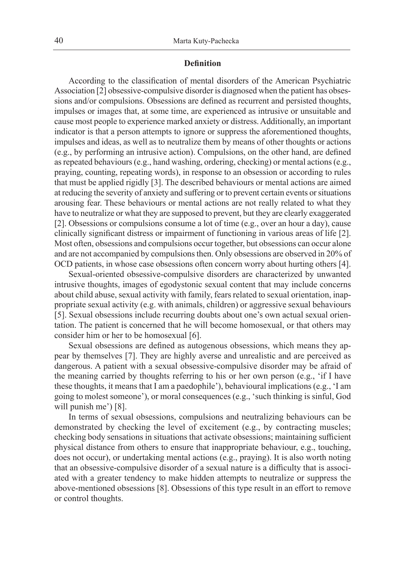#### **Definition**

According to the classification of mental disorders of the American Psychiatric Association [2] obsessive-compulsive disorder is diagnosed when the patient has obsessions and/or compulsions. Obsessions are defined as recurrent and persisted thoughts, impulses or images that, at some time, are experienced as intrusive or unsuitable and cause most people to experience marked anxiety or distress. Additionally, an important indicator is that a person attempts to ignore or suppress the aforementioned thoughts, impulses and ideas, as well as to neutralize them by means of other thoughts or actions (e.g., by performing an intrusive action). Compulsions, on the other hand, are defined as repeated behaviours (e.g., hand washing, ordering, checking) or mental actions (e.g., praying, counting, repeating words), in response to an obsession or according to rules that must be applied rigidly [3]. The described behaviours or mental actions are aimed at reducing the severity of anxiety and suffering or to prevent certain events or situations arousing fear. These behaviours or mental actions are not really related to what they have to neutralize or what they are supposed to prevent, but they are clearly exaggerated [2]. Obsessions or compulsions consume a lot of time (e.g., over an hour a day), cause clinically significant distress or impairment of functioning in various areas of life [2]. Most often, obsessions and compulsions occur together, but obsessions can occur alone and are not accompanied by compulsions then. Only obsessions are observed in 20% of OCD patients, in whose case obsessions often concern worry about hurting others [4].

Sexual-oriented obsessive-compulsive disorders are characterized by unwanted intrusive thoughts, images of egodystonic sexual content that may include concerns about child abuse, sexual activity with family, fears related to sexual orientation, inappropriate sexual activity (e.g. with animals, children) or aggressive sexual behaviours [5]. Sexual obsessions include recurring doubts about one's own actual sexual orientation. The patient is concerned that he will become homosexual, or that others may consider him or her to be homosexual [6].

Sexual obsessions are defined as autogenous obsessions, which means they appear by themselves [7]. They are highly averse and unrealistic and are perceived as dangerous. A patient with a sexual obsessive-compulsive disorder may be afraid of the meaning carried by thoughts referring to his or her own person (e.g., 'if I have these thoughts, it means that I am a paedophile'), behavioural implications (e.g., 'I am going to molest someone'), or moral consequences (e.g., 'such thinking is sinful, God will punish me') [8].

In terms of sexual obsessions, compulsions and neutralizing behaviours can be demonstrated by checking the level of excitement (e.g., by contracting muscles; checking body sensations in situations that activate obsessions; maintaining sufficient physical distance from others to ensure that inappropriate behaviour, e.g., touching, does not occur), or undertaking mental actions (e.g., praying). It is also worth noting that an obsessive-compulsive disorder of a sexual nature is a difficulty that is associated with a greater tendency to make hidden attempts to neutralize or suppress the above-mentioned obsessions [8]. Obsessions of this type result in an effort to remove or control thoughts.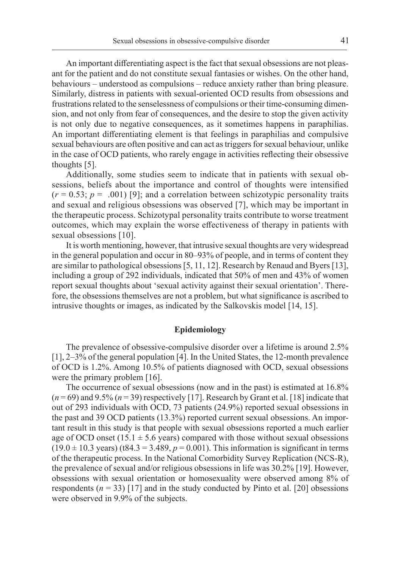An important differentiating aspect is the fact that sexual obsessions are not pleasant for the patient and do not constitute sexual fantasies or wishes. On the other hand, behaviours – understood as compulsions – reduce anxiety rather than bring pleasure. Similarly, distress in patients with sexual-oriented OCD results from obsessions and frustrations related to the senselessness of compulsions or their time-consuming dimension, and not only from fear of consequences, and the desire to stop the given activity is not only due to negative consequences, as it sometimes happens in paraphilias. An important differentiating element is that feelings in paraphilias and compulsive sexual behaviours are often positive and can act as triggers for sexual behaviour, unlike in the case of OCD patients, who rarely engage in activities reflecting their obsessive thoughts [5].

Additionally, some studies seem to indicate that in patients with sexual obsessions, beliefs about the importance and control of thoughts were intensified  $(r = 0.53; p = .001)$  [9]; and a correlation between schizotypic personality traits and sexual and religious obsessions was observed [7], which may be important in the therapeutic process. Schizotypal personality traits contribute to worse treatment outcomes, which may explain the worse effectiveness of therapy in patients with sexual obsessions [10].

It is worth mentioning, however, that intrusive sexual thoughts are very widespread in the general population and occur in 80–93% of people, and in terms of content they are similar to pathological obsessions [5, 11, 12]. Research by Renaud and Byers [13], including a group of 292 individuals, indicated that 50% of men and 43% of women report sexual thoughts about 'sexual activity against their sexual orientation'. Therefore, the obsessions themselves are not a problem, but what significance is ascribed to intrusive thoughts or images, as indicated by the Salkovskis model [14, 15].

#### **Epidemiology**

The prevalence of obsessive-compulsive disorder over a lifetime is around 2.5% [1], 2–3% of the general population [4]. In the United States, the 12-month prevalence of OCD is 1.2%. Among 10.5% of patients diagnosed with OCD, sexual obsessions were the primary problem [16].

The occurrence of sexual obsessions (now and in the past) is estimated at 16.8%  $(n=69)$  and 9.5%  $(n=39)$  respectively [17]. Research by Grant et al. [18] indicate that out of 293 individuals with OCD, 73 patients (24.9%) reported sexual obsessions in the past and 39 OCD patients (13.3%) reported current sexual obsessions. An important result in this study is that people with sexual obsessions reported a much earlier age of OCD onset  $(15.1 \pm 5.6 \text{ years})$  compared with those without sexual obsessions  $(19.0 \pm 10.3 \text{ years})$  (t84.3 = 3.489,  $p = 0.001$ ). This information is significant in terms of the therapeutic process. In the National Comorbidity Survey Replication (NCS-R), the prevalence of sexual and/or religious obsessions in life was 30.2% [19]. However, obsessions with sexual orientation or homosexuality were observed among 8% of respondents  $(n = 33)$  [17] and in the study conducted by Pinto et al. [20] obsessions were observed in 9.9% of the subjects.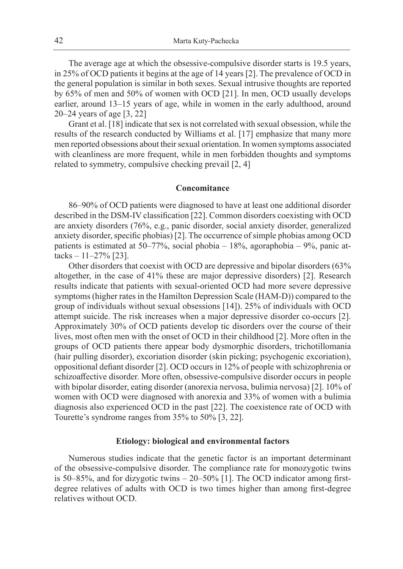The average age at which the obsessive-compulsive disorder starts is 19.5 years, in 25% of OCD patients it begins at the age of 14 years [2]. The prevalence of OCD in the general population is similar in both sexes. Sexual intrusive thoughts are reported by 65% of men and 50% of women with OCD [21]. In men, OCD usually develops earlier, around 13–15 years of age, while in women in the early adulthood, around 20–24 years of age [3, 22]

Grant et al. [18] indicate that sex is not correlated with sexual obsession, while the results of the research conducted by Williams et al. [17] emphasize that many more men reported obsessions about their sexual orientation. In women symptoms associated with cleanliness are more frequent, while in men forbidden thoughts and symptoms related to symmetry, compulsive checking prevail [2, 4]

#### **Concomitance**

86–90% of OCD patients were diagnosed to have at least one additional disorder described in the DSM-IV classification [22]. Common disorders coexisting with OCD are anxiety disorders (76%, e.g., panic disorder, social anxiety disorder, generalized anxiety disorder, specific phobias) [2]. The occurrence of simple phobias among OCD patients is estimated at 50–77%, social phobia – 18%, agoraphobia – 9%, panic attacks  $-11-27\%$  [23].

Other disorders that coexist with OCD are depressive and bipolar disorders (63% altogether, in the case of 41% these are major depressive disorders) [2]. Research results indicate that patients with sexual-oriented OCD had more severe depressive symptoms (higher rates in the Hamilton Depression Scale (HAM-D)) compared to the group of individuals without sexual obsessions [14]). 25% of individuals with OCD attempt suicide. The risk increases when a major depressive disorder co-occurs [2]. Approximately 30% of OCD patients develop tic disorders over the course of their lives, most often men with the onset of OCD in their childhood [2]. More often in the groups of OCD patients there appear body dysmorphic disorders, trichotillomania (hair pulling disorder), excoriation disorder (skin picking; psychogenic excoriation), oppositional defiant disorder [2]. OCD occurs in 12% of people with schizophrenia or schizoaffective disorder. More often, obsessive-compulsive disorder occurs in people with bipolar disorder, eating disorder (anorexia nervosa, bulimia nervosa) [2]. 10% of women with OCD were diagnosed with anorexia and 33% of women with a bulimia diagnosis also experienced OCD in the past [22]. The coexistence rate of OCD with Tourette's syndrome ranges from 35% to 50% [3, 22].

#### **Etiology: biological and environmental factors**

Numerous studies indicate that the genetic factor is an important determinant of the obsessive-compulsive disorder. The compliance rate for monozygotic twins is 50–85%, and for dizygotic twins – 20–50% [1]. The OCD indicator among firstdegree relatives of adults with OCD is two times higher than among first-degree relatives without OCD.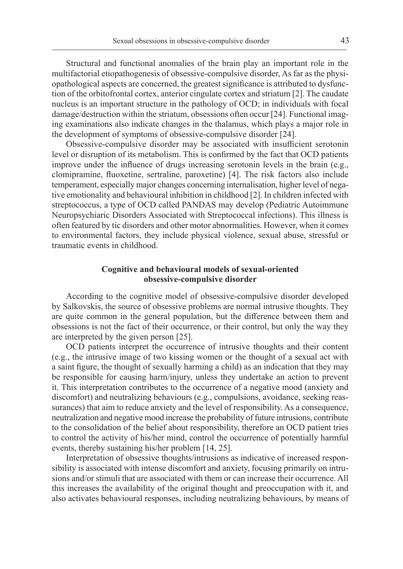Structural and functional anomalies of the brain play an important role in the multifactorial etiopathogenesis of obsessive-compulsive disorder, As far as the physiopathological aspects are concerned, the greatest significance is attributed to dysfunction of the orbitofrontal cortex, anterior cingulate cortex and striatum [2]. The caudate nucleus is an important structure in the pathology of OCD; in individuals with focal damage/destruction within the striatum, obsessions often occur [24]. Functional imaging examinations also indicate changes in the thalamus, which plays a major role in the development of symptoms of obsessive-compulsive disorder [24].

Obsessive-compulsive disorder may be associated with insufficient serotonin level or disruption of its metabolism. This is confirmed by the fact that OCD patients improve under the influence of drugs increasing serotonin levels in the brain (e.g., clomipramine, fluoxetine, sertraline, paroxetine) [4]. The risk factors also include temperament, especially major changes concerning internalisation, higher level of negative emotionality and behavioural inhibition in childhood [2]. In children infected with streptococcus, a type of OCD called PANDAS may develop (Pediatric Autoimmune Neuropsychiaric Disorders Associated with Streptococcal infections). This illness is often featured by tic disorders and other motor abnormalities. However, when it comes to environmental factors, they include physical violence, sexual abuse, stressful or traumatic events in childhood.

# **Cognitive and behavioural models of sexual-oriented obsessive-compulsive disorder**

According to the cognitive model of obsessive-compulsive disorder developed by Salkovskis, the source of obsessive problems are normal intrusive thoughts. They are quite common in the general population, but the difference between them and obsessions is not the fact of their occurrence, or their control, but only the way they are interpreted by the given person [25].

OCD patients interpret the occurrence of intrusive thoughts and their content (e.g., the intrusive image of two kissing women or the thought of a sexual act with a saint figure, the thought of sexually harming a child) as an indication that they may be responsible for causing harm/injury, unless they undertake an action to prevent it. This interpretation contributes to the occurrence of a negative mood (anxiety and discomfort) and neutralizing behaviours (e.g., compulsions, avoidance, seeking reassurances) that aim to reduce anxiety and the level of responsibility. As a consequence, neutralization and negative mood increase the probability of future intrusions, contribute to the consolidation of the belief about responsibility, therefore an OCD patient tries to control the activity of his/her mind, control the occurrence of potentially harmful events, thereby sustaining his/her problem [14, 25].

Interpretation of obsessive thoughts/intrusions as indicative of increased responsibility is associated with intense discomfort and anxiety, focusing primarily on intrusions and/or stimuli that are associated with them or can increase their occurrence. All this increases the availability of the original thought and preoccupation with it, and also activates behavioural responses, including neutralizing behaviours, by means of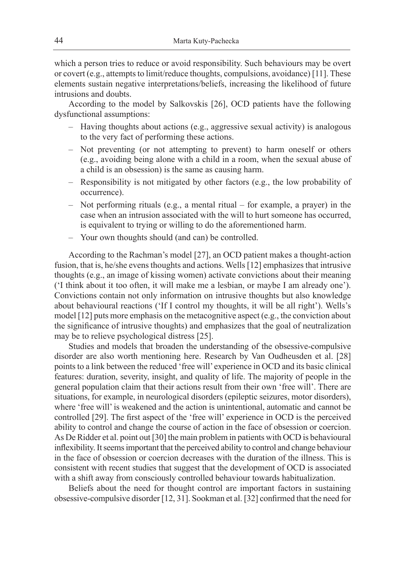which a person tries to reduce or avoid responsibility. Such behaviours may be overt or covert (e.g., attempts to limit/reduce thoughts, compulsions, avoidance) [11]. These elements sustain negative interpretations/beliefs, increasing the likelihood of future intrusions and doubts.

According to the model by Salkovskis [26], OCD patients have the following dysfunctional assumptions:

- Having thoughts about actions (e.g., aggressive sexual activity) is analogous to the very fact of performing these actions.
- Not preventing (or not attempting to prevent) to harm oneself or others (e.g., avoiding being alone with a child in a room, when the sexual abuse of a child is an obsession) is the same as causing harm.
- Responsibility is not mitigated by other factors (e.g., the low probability of occurrence).
- Not performing rituals (e.g., a mental ritual for example, a prayer) in the case when an intrusion associated with the will to hurt someone has occurred, is equivalent to trying or willing to do the aforementioned harm.
- Your own thoughts should (and can) be controlled.

According to the Rachman's model [27], an OCD patient makes a thought-action fusion, that is, he/she evens thoughts and actions. Wells [12] emphasizes that intrusive thoughts (e.g., an image of kissing women) activate convictions about their meaning ('I think about it too often, it will make me a lesbian, or maybe I am already one'). Convictions contain not only information on intrusive thoughts but also knowledge about behavioural reactions ('If I control my thoughts, it will be all right'). Wells's model [12] puts more emphasis on the metacognitive aspect (e.g., the conviction about the significance of intrusive thoughts) and emphasizes that the goal of neutralization may be to relieve psychological distress [25].

Studies and models that broaden the understanding of the obsessive-compulsive disorder are also worth mentioning here. Research by Van Oudheusden et al. [28] points to a link between the reduced 'free will' experience in OCD and its basic clinical features: duration, severity, insight, and quality of life. The majority of people in the general population claim that their actions result from their own 'free will'. There are situations, for example, in neurological disorders (epileptic seizures, motor disorders), where 'free will' is weakened and the action is unintentional, automatic and cannot be controlled [29]. The first aspect of the 'free will' experience in OCD is the perceived ability to control and change the course of action in the face of obsession or coercion. As De Ridder et al. point out [30] the main problem in patients with OCD is behavioural inflexibility. It seems important that the perceived ability to control and change behaviour in the face of obsession or coercion decreases with the duration of the illness. This is consistent with recent studies that suggest that the development of OCD is associated with a shift away from consciously controlled behaviour towards habitualization.

Beliefs about the need for thought control are important factors in sustaining obsessive-compulsive disorder [12, 31]. Sookman et al. [32] confirmed that the need for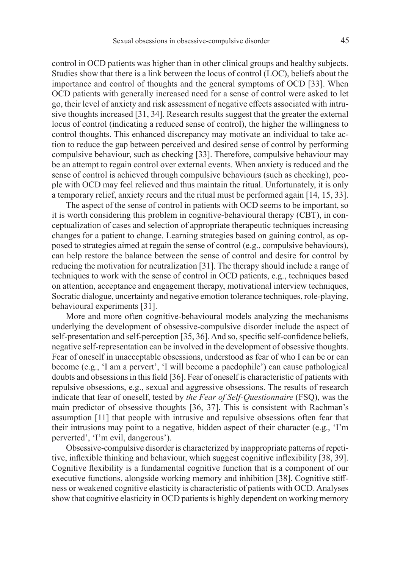control in OCD patients was higher than in other clinical groups and healthy subjects. Studies show that there is a link between the locus of control (LOC), beliefs about the importance and control of thoughts and the general symptoms of OCD [33]. When OCD patients with generally increased need for a sense of control were asked to let go, their level of anxiety and risk assessment of negative effects associated with intrusive thoughts increased [31, 34]. Research results suggest that the greater the external locus of control (indicating a reduced sense of control), the higher the willingness to control thoughts. This enhanced discrepancy may motivate an individual to take action to reduce the gap between perceived and desired sense of control by performing compulsive behaviour, such as checking [33]. Therefore, compulsive behaviour may be an attempt to regain control over external events. When anxiety is reduced and the sense of control is achieved through compulsive behaviours (such as checking), people with OCD may feel relieved and thus maintain the ritual. Unfortunately, it is only a temporary relief, anxiety recurs and the ritual must be performed again [14, 15, 33].

The aspect of the sense of control in patients with OCD seems to be important, so it is worth considering this problem in cognitive-behavioural therapy (CBT), in conceptualization of cases and selection of appropriate therapeutic techniques increasing changes for a patient to change. Learning strategies based on gaining control, as opposed to strategies aimed at regain the sense of control (e.g., compulsive behaviours), can help restore the balance between the sense of control and desire for control by reducing the motivation for neutralization [31]. The therapy should include a range of techniques to work with the sense of control in OCD patients, e.g., techniques based on attention, acceptance and engagement therapy, motivational interview techniques, Socratic dialogue, uncertainty and negative emotion tolerance techniques, role-playing, behavioural experiments [31].

More and more often cognitive-behavioural models analyzing the mechanisms underlying the development of obsessive-compulsive disorder include the aspect of self-presentation and self-perception [35, 36]. And so, specific self-confidence beliefs, negative self-representation can be involved in the development of obsessive thoughts. Fear of oneself in unacceptable obsessions, understood as fear of who I can be or can become (e.g., 'I am a pervert', 'I will become a paedophile') can cause pathological doubts and obsessions in this field [36]. Fear of oneself is characteristic of patients with repulsive obsessions, e.g., sexual and aggressive obsessions. The results of research indicate that fear of oneself, tested by *the Fear of Self-Questionnaire* (FSQ), was the main predictor of obsessive thoughts [36, 37]. This is consistent with Rachman's assumption [11] that people with intrusive and repulsive obsessions often fear that their intrusions may point to a negative, hidden aspect of their character (e.g., 'I'm perverted', 'I'm evil, dangerous').

Obsessive-compulsive disorder is characterized by inappropriate patterns of repetitive, inflexible thinking and behaviour, which suggest cognitive inflexibility [38, 39]. Cognitive flexibility is a fundamental cognitive function that is a component of our executive functions, alongside working memory and inhibition [38]. Cognitive stiffness or weakened cognitive elasticity is characteristic of patients with OCD. Analyses show that cognitive elasticity in OCD patients is highly dependent on working memory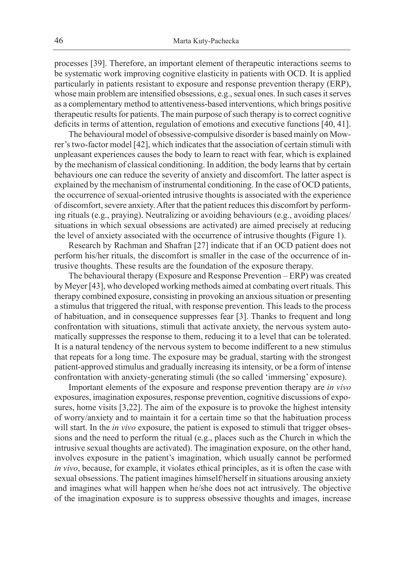processes [39]. Therefore, an important element of therapeutic interactions seems to be systematic work improving cognitive elasticity in patients with OCD. It is applied particularly in patients resistant to exposure and response prevention therapy (ERP), whose main problem are intensified obsessions, e.g., sexual ones. In such cases it serves as a complementary method to attentiveness-based interventions, which brings positive therapeutic results for patients. The main purpose of such therapy is to correct cognitive deficits in terms of attention, regulation of emotions and executive functions [40, 41].

The behavioural model of obsessive-compulsive disorder is based mainly on Mowrer's two-factor model [42], which indicates that the association of certain stimuli with unpleasant experiences causes the body to learn to react with fear, which is explained by the mechanism of classical conditioning. In addition, the body learns that by certain behaviours one can reduce the severity of anxiety and discomfort. The latter aspect is explained by the mechanism of instrumental conditioning. In the case of OCD patients, the occurrence of sexual-oriented intrusive thoughts is associated with the experience of discomfort, severe anxiety. After that the patient reduces this discomfort by performing rituals (e.g., praying). Neutralizing or avoiding behaviours (e.g., avoiding places/ situations in which sexual obsessions are activated) are aimed precisely at reducing the level of anxiety associated with the occurrence of intrusive thoughts (Figure 1).

Research by Rachman and Shafran [27] indicate that if an OCD patient does not perform his/her rituals, the discomfort is smaller in the case of the occurrence of intrusive thoughts. These results are the foundation of the exposure therapy.

The behavioural therapy (Exposure and Response Prevention – ERP) was created by Meyer [43], who developed working methods aimed at combating overt rituals. This therapy combined exposure, consisting in provoking an anxious situation or presenting a stimulus that triggered the ritual, with response prevention. This leads to the process of habituation, and in consequence suppresses fear [3]. Thanks to frequent and long confrontation with situations, stimuli that activate anxiety, the nervous system automatically suppresses the response to them, reducing it to a level that can be tolerated. It is a natural tendency of the nervous system to become indifferent to a new stimulus that repeats for a long time. The exposure may be gradual, starting with the strongest patient-approved stimulus and gradually increasing its intensity, or be a form of intense confrontation with anxiety-generating stimuli (the so called 'immersing' exposure).

Important elements of the exposure and response prevention therapy are *in vivo* exposures, imagination exposures, response prevention, cognitive discussions of exposures, home visits [3,22]. The aim of the exposure is to provoke the highest intensity of worry/anxiety and to maintain it for a certain time so that the habituation process will start. In the *in vivo* exposure, the patient is exposed to stimuli that trigger obsessions and the need to perform the ritual (e.g., places such as the Church in which the intrusive sexual thoughts are activated). The imagination exposure, on the other hand, involves exposure in the patient's imagination, which usually cannot be performed *in vivo*, because, for example, it violates ethical principles, as it is often the case with sexual obsessions. The patient imagines himself/herself in situations arousing anxiety and imagines what will happen when he/she does not act intrusively. The objective of the imagination exposure is to suppress obsessive thoughts and images, increase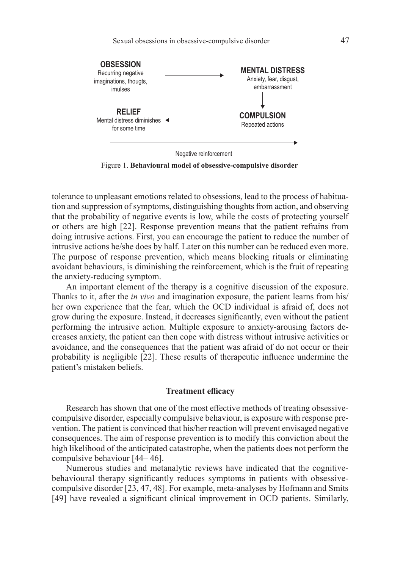

Negative reinforcement

Figure 1. **Behavioural model of obsessive-compulsive disorder**

tolerance to unpleasant emotions related to obsessions, lead to the process of habituation and suppression of symptoms, distinguishing thoughts from action, and observing that the probability of negative events is low, while the costs of protecting yourself or others are high [22]. Response prevention means that the patient refrains from doing intrusive actions. First, you can encourage the patient to reduce the number of intrusive actions he/she does by half. Later on this number can be reduced even more. The purpose of response prevention, which means blocking rituals or eliminating avoidant behaviours, is diminishing the reinforcement, which is the fruit of repeating the anxiety-reducing symptom.

An important element of the therapy is a cognitive discussion of the exposure. Thanks to it, after the *in vivo* and imagination exposure, the patient learns from his/ her own experience that the fear, which the OCD individual is afraid of, does not grow during the exposure. Instead, it decreases significantly, even without the patient performing the intrusive action. Multiple exposure to anxiety-arousing factors decreases anxiety, the patient can then cope with distress without intrusive activities or avoidance, and the consequences that the patient was afraid of do not occur or their probability is negligible [22]. These results of therapeutic influence undermine the patient's mistaken beliefs.

### **Treatment efficacy**

Research has shown that one of the most effective methods of treating obsessivecompulsive disorder, especially compulsive behaviour, is exposure with response prevention. The patient is convinced that his/her reaction will prevent envisaged negative consequences. The aim of response prevention is to modify this conviction about the high likelihood of the anticipated catastrophe, when the patients does not perform the compulsive behaviour [44– 46].

Numerous studies and metanalytic reviews have indicated that the cognitivebehavioural therapy significantly reduces symptoms in patients with obsessivecompulsive disorder [23, 47, 48]. For example, meta-analyses by Hofmann and Smits [49] have revealed a significant clinical improvement in OCD patients. Similarly,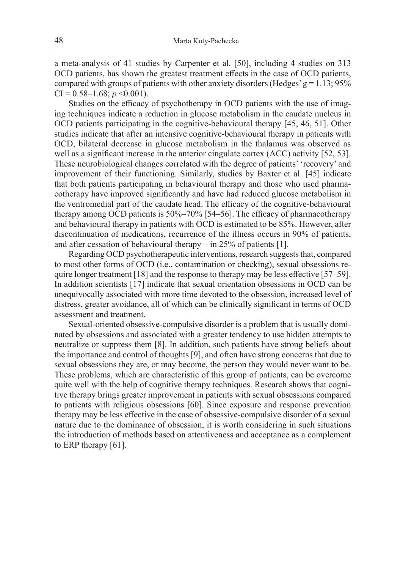a meta-analysis of 41 studies by Carpenter et al. [50], including 4 studies on 313 OCD patients, has shown the greatest treatment effects in the case of OCD patients, compared with groups of patients with other anxiety disorders (Hedges'  $g = 1.13$ ; 95%  $CI = 0.58 - 1.68$ ;  $p \le 0.001$ ).

Studies on the efficacy of psychotherapy in OCD patients with the use of imaging techniques indicate a reduction in glucose metabolism in the caudate nucleus in OCD patients participating in the cognitive-behavioural therapy [45, 46, 51]. Other studies indicate that after an intensive cognitive-behavioural therapy in patients with OCD, bilateral decrease in glucose metabolism in the thalamus was observed as well as a significant increase in the anterior cingulate cortex (ACC) activity [52, 53]. These neurobiological changes correlated with the degree of patients' 'recovery' and improvement of their functioning. Similarly, studies by Baxter et al. [45] indicate that both patients participating in behavioural therapy and those who used pharmacotherapy have improved significantly and have had reduced glucose metabolism in the ventromedial part of the caudate head. The efficacy of the cognitive-behavioural therapy among OCD patients is 50%–70% [54–56]. The efficacy of pharmacotherapy and behavioural therapy in patients with OCD is estimated to be 85%. However, after discontinuation of medications, recurrence of the illness occurs in 90% of patients, and after cessation of behavioural therapy – in 25% of patients [1].

Regarding OCD psychotherapeutic interventions, research suggests that, compared to most other forms of OCD (i.e., contamination or checking), sexual obsessions require longer treatment  $[18]$  and the response to therapy may be less effective  $[57–59]$ . In addition scientists [17] indicate that sexual orientation obsessions in OCD can be unequivocally associated with more time devoted to the obsession, increased level of distress, greater avoidance, all of which can be clinically significant in terms of OCD assessment and treatment.

Sexual-oriented obsessive-compulsive disorder is a problem that is usually dominated by obsessions and associated with a greater tendency to use hidden attempts to neutralize or suppress them [8]. In addition, such patients have strong beliefs about the importance and control of thoughts [9], and often have strong concerns that due to sexual obsessions they are, or may become, the person they would never want to be. These problems, which are characteristic of this group of patients, can be overcome quite well with the help of cognitive therapy techniques. Research shows that cognitive therapy brings greater improvement in patients with sexual obsessions compared to patients with religious obsessions [60]. Since exposure and response prevention therapy may be less effective in the case of obsessive-compulsive disorder of a sexual nature due to the dominance of obsession, it is worth considering in such situations the introduction of methods based on attentiveness and acceptance as a complement to ERP therapy [61].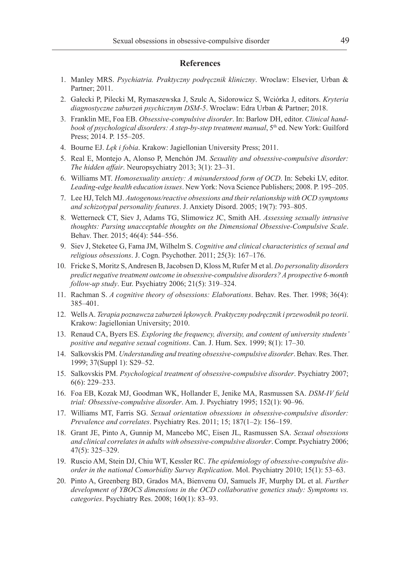#### **References**

- 1. Manley MRS. *Psychiatria. Praktyczny podręcznik kliniczny*. Wroclaw: Elsevier, Urban & Partner; 2011.
- 2. Gałecki P, Pilecki M, Rymaszewska J, Szulc A, Sidorowicz S, Wciórka J, editors. *Kryteria diagnostyczne zaburzeń psychicznym DSM-5*. Wroclaw: Edra Urban & Partner; 2018.
- 3. Franklin ME, Foa EB. *Obsessive-compulsive disorder*. In: Barlow DH, editor. *Clinical handbook of psychological disorders: A step-by-step treatment manual*, 5<sup>th</sup> ed. New York: Guilford Press; 2014. P. 155–205.
- 4. Bourne EJ. *Lęk i fobia*. Krakow: Jagiellonian University Press; 2011.
- 5. Real E, Montejo A, Alonso P, Menchón JM. *Sexuality and obsessive-compulsive disorder: The hidden affair*. Neuropsychiatry 2013; 3(1): 23–31.
- 6. Williams MT. *Homosexuality anxiety: A misunderstood form of OCD*. In: Sebeki LV, editor. *Leading-edge health education issues*. New York: Nova Science Publishers; 2008. P. 195–205.
- 7. Lee HJ, Telch MJ. *Autogenous/reactive obsessions and their relationship with OCD symptoms and schizotypal personality features*. J. Anxiety Disord. 2005; 19(7): 793–805.
- 8. Wetterneck CT, Siev J, Adams TG, Slimowicz JC, Smith AH. *Assessing sexually intrusive thoughts: Parsing unacceptable thoughts on the Dimensional Obsessive-Compulsive Scale*. Behav. Ther. 2015; 46(4): 544–556.
- 9. Siev J, Steketee G, Fama JM, Wilhelm S. *Cognitive and clinical characteristics of sexual and religious obsessions*. J. Cogn. Psychother. 2011; 25(3): 167–176.
- 10. Fricke S, Moritz S, Andresen B, Jacobsen D, Kloss M, Rufer M et al. *Do personality disorders predict negative treatment outcome in obsessive-compulsive disorders? A prospective 6-month follow-up study*. Eur. Psychiatry 2006; 21(5): 319–324.
- 11. Rachman S. *A cognitive theory of obsessions: Elaborations*. Behav. Res. Ther. 1998; 36(4): 385–401.
- 12. Wells A. *Terapia poznawcza zaburzeń lękowych. Praktyczny podręcznik i przewodnik po teorii*. Krakow: Jagiellonian University; 2010.
- 13. Renaud CA, Byers ES. *Exploring the frequency, diversity, and content of university students' positive and negative sexual cognitions*. Can. J. Hum. Sex. 1999; 8(1): 17–30.
- 14. Salkovskis PM. *Understanding and treating obsessive-compulsive disorder*. Behav. Res. Ther. 1999; 37(Suppl 1): S29–52.
- 15. Salkovskis PM. *Psychological treatment of obsessive-compulsive disorder*. Psychiatry 2007; 6(6): 229–233.
- 16. Foa EB, Kozak MJ, Goodman WK, Hollander E, Jenike MA, Rasmussen SA. *DSM-IV field trial: Obsessive-compulsive disorder*. Am. J. Psychiatry 1995; 152(1): 90–96.
- 17. Williams MT, Farris SG. *Sexual orientation obsessions in obsessive-compulsive disorder: Prevalence and correlates*. Psychiatry Res. 2011; 15; 187(1–2): 156–159.
- 18. Grant JE, Pinto A, Gunnip M, Mancebo MC, Eisen JL, Rasmussen SA. *Sexual obsessions and clinical correlates in adults with obsessive-compulsive disorder*. Compr. Psychiatry 2006; 47(5): 325–329.
- 19. Ruscio AM, Stein DJ, Chiu WT, Kessler RC. *The epidemiology of obsessive-compulsive disorder in the national Comorbidity Survey Replication*. Mol. Psychiatry 2010; 15(1): 53–63.
- 20. Pinto A, Greenberg BD, Grados MA, Bienvenu OJ, Samuels JF, Murphy DL et al. *Further development of YBOCS dimensions in the OCD collaborative genetics study: Symptoms vs. categories*. Psychiatry Res. 2008; 160(1): 83–93.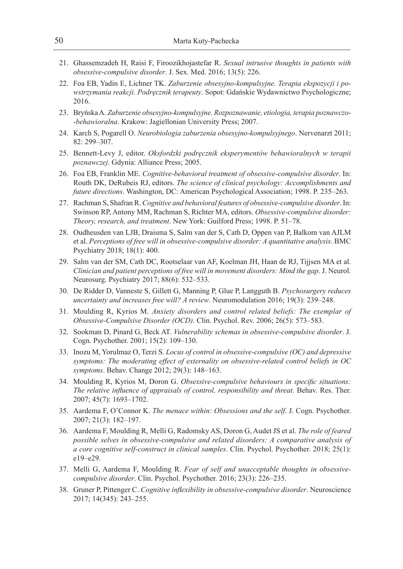- 21. Ghassemzadeh H, Raisi F, Firoozikhojastefar R. *Sexual intrusive thoughts in patients with obsessive-compulsive disorder*. J. Sex. Med. 2016; 13(5): 226.
- 22. Foa EB, Yadin E, Lichner TK. *Zaburzenie obsesyjno-kompulsyjne. Terapia ekspozycji i powstrzymania reakcji. Podręcznik terapeuty*. Sopot: Gdańskie Wydawnictwo Psychologiczne; 2016.
- 23. Bryńska A. *Zaburzenie obsesyjno-kompulsyjne. Rozpoznawanie, etiologia, terapia poznawczo- -behawioralna*. Krakow: Jagiellonian University Press; 2007.
- 24. Karch S, Pogarell O. *Neurobiologia zaburzenia obsesyjno-kompulsyjnego*. Nervenarzt 2011; 82: 299–307.
- 25. Bennett-Levy J, editor. *Oksfordzki podręcznik eksperymentów behawioralnych w terapii poznawczej*. Gdynia: Alliance Press; 2005.
- 26. Foa EB, Franklin ME. *Cognitive-behavioral treatment of obsessive-compulsive disorder*. In: Routh DK, DeRubeis RJ, editors. *The science of clinical psychology: Accomplishments and future directions*. Washington, DC: American Psychological Association; 1998. P. 235–263.
- 27. Rachman S, Shafran R. *Cognitive and behavioral features of obsessive-compulsive disorder*. In: Swinson RP, Antony MM, Rachman S, Richter MA, editors. *Obsessive-compulsive disorder: Theory, research, and treatment*. New York: Guilford Press; 1998. P. 51–78.
- 28. Oudheusden van LJB, Draisma S, Salm van der S, Cath D, Oppen van P, Balkom van AJLM et al. *Perceptions of free will in obsessive-compulsive disorder: A quantitative analysis*. BMC Psychiatry 2018; 18(1): 400.
- 29. Salm van der SM, Cath DC, Rootselaar van AF, Koelman JH, Haan de RJ, Tijjsen MA et al. *Clinician and patient perceptions of free will in movement disorders: Mind the gap*. J. Neurol. Neurosurg. Psychiatry 2017; 88(6): 532–533.
- 30. De Ridder D, Vanneste S, Gillett G, Manning P, Glue P, Langguth B. *Psychosurgery reduces uncertainty and increases free will? A review*. Neuromodulation 2016; 19(3): 239–248.
- 31. Moulding R, Kyrios M. *Anxiety disorders and control related beliefs: The exemplar of Obsessive-Compulsive Disorder (OCD)*. Clin. Psychol. Rev. 2006; 26(5): 573–583.
- 32. Sookman D, Pinard G, Beck AT. *Vulnerability schemas in obsessive-compulsive disorder*. J. Cogn. Psychother. 2001; 15(2): 109–130.
- 33. Inozu M, Yorulmaz O, Terzi S. *Locus of control in obsessive-compulsive (OC) and depressive symptoms: The moderating effect of externality on obsessive-related control beliefs in OC symptoms*. Behav. Change 2012; 29(3): 148–163.
- 34. Moulding R, Kyrios M, Doron G. *Obsessive-compulsive behaviours in specific situations: The relative influence of appraisals of control, responsibility and threat*. Behav. Res. Ther. 2007; 45(7): 1693–1702.
- 35. Aardema F, O'Connor K. *The menace within: Obsessions and the self*. J. Cogn. Psychother. 2007; 21(3): 182–197.
- 36. Aardema F, Moulding R, Melli G, Radomsky AS, Doron G, Audet JS et al. *The role of feared possible selves in obsessive-compulsive and related disorders: A comparative analysis of a core cognitive self-construct in clinical samples*. Clin. Psychol. Psychother. 2018; 25(1): e19–e29.
- 37. Melli G, Aardema F, Moulding R. *Fear of self and unacceptable thoughts in obsessivecompulsive disorder*. Clin. Psychol. Psychother. 2016; 23(3): 226–235.
- 38. Gruner P, Pittenger C. *Cognitive inflexibility in obsessive-compulsive disorder*. Neuroscience 2017; 14(345): 243–255.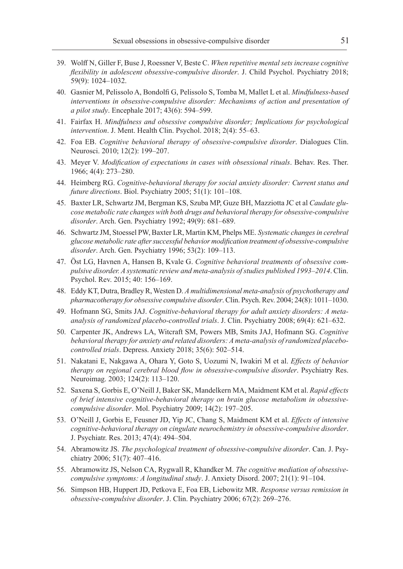- 39. Wolff N, Giller F, Buse J, Roessner V, Beste C. *When repetitive mental sets increase cognitive flexibility in adolescent obsessive-compulsive disorder*. J. Child Psychol. Psychiatry 2018; 59(9): 1024–1032.
- 40. Gasnier M, Pelissolo A, Bondolfi G, Pelissolo S, Tomba M, Mallet L et al. *Mindfulness-based interventions in obsessive-compulsive disorder: Mechanisms of action and presentation of a pilot study*. Encephale 2017; 43(6): 594–599.
- 41. Fairfax H. *Mindfulness and obsessive compulsive disorder; Implications for psychological intervention*. J. Ment. Health Clin. Psychol. 2018; 2(4): 55–63.
- 42. Foa EB. *Cognitive behavioral therapy of obsessive-compulsive disorder*. Dialogues Clin. Neurosci. 2010; 12(2): 199–207.
- 43. Meyer V. *Modification of expectations in cases with obsessional rituals*. Behav. Res. Ther. 1966; 4(4): 273–280.
- 44. Heimberg RG. *Cognitive-behavioral therapy for social anxiety disorder: Current status and future directions*. Biol. Psychiatry 2005; 51(1): 101–108.
- 45. Baxter LR, Schwartz JM, Bergman KS, Szuba MP, Guze BH, Mazziotta JC et al *Caudate glucose metabolic rate changes with both drugs and behavioral therapy for obsessive-compulsive disorder*. Arch. Gen. Psychiatry 1992; 49(9): 681–689.
- 46. Schwartz JM, Stoessel PW, Baxter LR, Martin KM, Phelps ME. *Systematic changes in cerebral glucose metabolic rate after successful behavior modification treatment of obsessive-compulsive disorder*. Arch. Gen. Psychiatry 1996; 53(2): 109–113.
- 47. Öst LG, Havnen A, Hansen B, Kvale G. *Cognitive behavioral treatments of obsessive compulsive disorder. A systematic review and meta-analysis of studies published 1993–2014*. Clin. Psychol. Rev. 2015; 40: 156–169.
- 48. Eddy KT, Dutra, Bradley R, Westen D. *A multidimensional meta-analysis of psychotherapy and pharmacotherapy for obsessive compulsive disorder*. Clin. Psych. Rev. 2004; 24(8): 1011–1030.
- 49. Hofmann SG, Smits JAJ. *Cognitive-behavioral therapy for adult anxiety disorders: A metaanalysis of randomized placebo-controlled trials*. J. Clin. Psychiatry 2008; 69(4): 621–632.
- 50. Carpenter JK, Andrews LA, Witcraft SM, Powers MB, Smits JAJ, Hofmann SG. *Cognitive behavioral therapy for anxiety and related disorders: A meta-analysis of randomized placebocontrolled trials*. Depress. Anxiety 2018; 35(6): 502–514.
- 51. Nakatani E, Nakgawa A, Ohara Y, Goto S, Uozumi N, Iwakiri M et al. *Effects of behavior therapy on regional cerebral blood flow in obsessive-compulsive disorder*. Psychiatry Res. Neuroimag. 2003; 124(2): 113–120.
- 52. Saxena S, Gorbis E, O'Neill J, Baker SK, Mandelkern MA, Maidment KM et al. *Rapid effects of brief intensive cognitive-behavioral therapy on brain glucose metabolism in obsessivecompulsive disorder*. Mol. Psychiatry 2009; 14(2): 197–205.
- 53. O'Neill J, Gorbis E, Feusner JD, Yip JC, Chang S, Maidment KM et al. *Effects of intensive cognitive-behavioral therapy on cingulate neurochemistry in obsessive-compulsive disorder*. J. Psychiatr. Res. 2013; 47(4): 494–504.
- 54. Abramowitz JS. *The psychological treatment of obsessive-compulsive disorder*. Can. J. Psychiatry 2006; 51(7): 407–416.
- 55. Abramowitz JS, Nelson CA, Rygwall R, Khandker M. *The cognitive mediation of obsessivecompulsive symptoms: A longitudinal study*. J. Anxiety Disord. 2007; 21(1): 91–104.
- 56. Simpson HB, Huppert JD, Petkova E, Foa EB, Liebowitz MR. *Response versus remission in obsessive-compulsive disorder*. J. Clin. Psychiatry 2006; 67(2): 269–276.